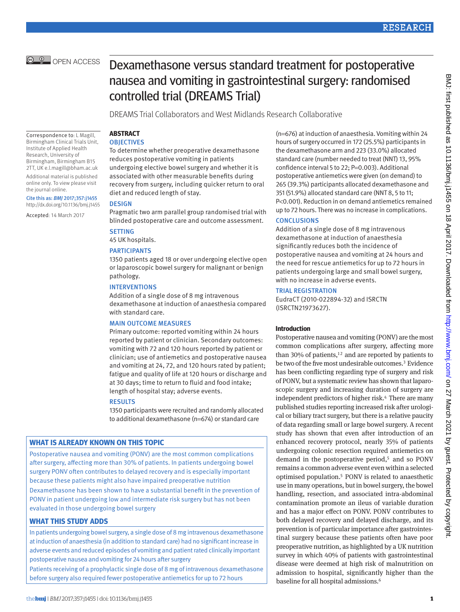

Correspondence to: L Magill, Birmingham Clinical Trials Unit, Institute of Applied Health Research, University of Birmingham, Birmingham B15 2TT, UK e.l.magill@bham.ac.uk Additional material is published online only. To view please visit

Cite this as: *BMJ* 2017;357:j1455 http://dx.doi.org/10.1136/bmj.j1455 Accepted: 14 March 2017

the journal online.

# Dexamethasone versus standard treatment for postoperative nausea and vomiting in gastrointestinal surgery: randomised controlled trial (DREAMS Trial)

DREAMS Trial Collaborators and West Midlands Research Collaborative

# **ABSTRACT**

# **OBJECTIVES**

To determine whether preoperative dexamethasone reduces postoperative vomiting in patients undergoing elective bowel surgery and whether it is associated with other measurable benefits during recovery from surgery, including quicker return to oral diet and reduced length of stay.

# **DESIGN**

Pragmatic two arm parallel group randomised trial with blinded postoperative care and outcome assessment.

# **SETTING**

45 UK hospitals.

# **PARTICIPANTS**

1350 patients aged 18 or over undergoing elective open or laparoscopic bowel surgery for malignant or benign pathology.

## **INTERVENTIONS**

Addition of a single dose of 8 mg intravenous dexamethasone at induction of anaesthesia compared with standard care.

#### **MAIN OUTCOME MEASURES**

Primary outcome: reported vomiting within 24 hours reported by patient or clinician. Secondary outcomes: vomiting with 72 and 120 hours reported by patient or clinician; use of antiemetics and postoperative nausea and vomiting at 24, 72, and 120 hours rated by patient; fatigue and quality of life at 120 hours or discharge and at 30 days; time to return to fluid and food intake; length of hospital stay; adverse events.

# **RESULTS**

1350 participants were recruited and randomly allocated to additional dexamethasone (n=674) or standard care

# **What is already known on this topic**

Postoperative nausea and vomiting (PONV) are the most common complications after surgery, affecting more than 30% of patients. In patients undergoing bowel surgery PONV often contributes to delayed recovery and is especially important because these patients might also have impaired preoperative nutrition

Dexamethasone has been shown to have a substantial benefit in the prevention of PONV in patient undergoing low and intermediate risk surgery but has not been evaluated in those undergoing bowel surgery

# **What this study adds**

In patients undergoing bowel surgery, a single dose of 8 mg intravenous dexamethasone at induction of anaesthesia (in addition to standard care) had no significant increase in adverse events and reduced episodes of vomiting and patient rated clinically important postoperative nausea and vomiting for 24 hours after surgery

Patients receiving of a prophylactic single dose of 8 mg of intravenous dexamethasone before surgery also required fewer postoperative antiemetics for up to 72 hours

(n=676) at induction of anaesthesia. Vomiting within 24 hours of surgery occurred in 172 (25.5%) participants in the dexamethasone arm and 223 (33.0%) allocated standard care (number needed to treat (NNT) 13, 95% confidence interval 5 to 22; P=0.003). Additional postoperative antiemetics were given (on demand) to 265 (39.3%) participants allocated dexamethasone and 351 (51.9%) allocated standard care (NNT 8, 5 to 11; P<0.001). Reduction in on demand antiemetics remained up to 72 hours. There was no increase in complications.

# **CONCLUSIONS**

Addition of a single dose of 8 mg intravenous dexamethasone at induction of anaesthesia significantly reduces both the incidence of postoperative nausea and vomiting at 24 hours and the need for rescue antiemetics for up to 72 hours in patients undergoing large and small bowel surgery, with no increase in adverse events.

# Trial registration

EudraCT (2010-022894-32) and ISRCTN (ISRCTN21973627).

# **Introduction**

Postoperative nausea and vomiting (PONV) are the most common complications after surgery, affecting more than 30% of patients, $12$  and are reported by patients to be two of the five most undesirable outcomes.<sup>3</sup> Evidence has been conflicting regarding type of surgery and risk of PONV, but a systematic review has shown that laparoscopic surgery and increasing duration of surgery are independent predictors of higher risk.<sup>4</sup> There are many published studies reporting increased risk after urological or biliary tract surgery, but there is a relative paucity of data regarding small or large bowel surgery. A recent study has shown that even after introduction of an enhanced recovery protocol, nearly 35% of patients undergoing colonic resection required antiemetics on demand in the postoperative period,<sup>5</sup> and so PONV remains a common adverse event even within a selected optimised population.5 PONV is related to anaesthetic use in many operations, but in bowel surgery, the bowel handling, resection, and associated intra-abdominal contamination promote an ileus of variable duration and has a major effect on PONV. PONV contributes to both delayed recovery and delayed discharge, and its prevention is of particular importance after gastrointestinal surgery because these patients often have poor preoperative nutrition, as highlighted by a UK nutrition survey in which 40% of patients with gastrointestinal disease were deemed at high risk of malnutrition on admission to hospital, significantly higher than the baseline for all hospital admissions.6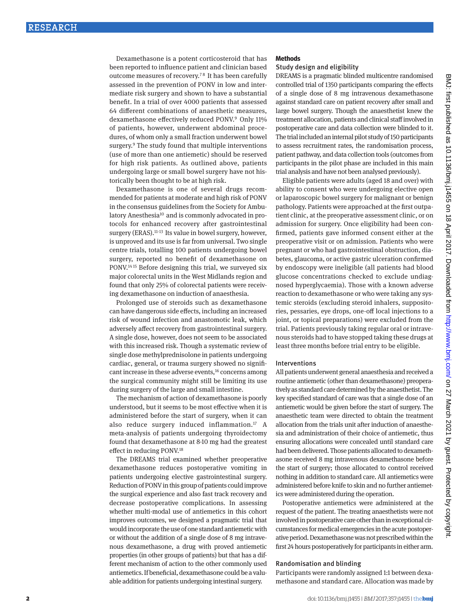Dexamethasone is a potent corticosteroid that has been reported to influence patient and clinician based outcome measures of recovery.7 8 It has been carefully assessed in the prevention of PONV in low and intermediate risk surgery and shown to have a substantial benefit. In a trial of over 4000 patients that assessed 64 different combinations of anaesthetic measures, dexamethasone effectively reduced PONV.9 Only 11% of patients, however, underwent abdominal procedures, of whom only a small fraction underwent bowel surgery.9 The study found that multiple interventions (use of more than one antiemetic) should be reserved for high risk patients. As outlined above, patients undergoing large or small bowel surgery have not historically been thought to be at high risk.

Dexamethasone is one of several drugs recommended for patients at moderate and high risk of PONV in the consensus guidelines from the Society for Ambulatory Anesthesia<sup>10</sup> and is commonly advocated in protocols for enhanced recovery after gastrointestinal surgery (ERAS).<sup>11-13</sup> Its value in bowel surgery, however, is unproved and its use is far from universal. Two single centre trials, totalling 100 patients undergoing bowel surgery, reported no benefit of dexamethasone on PONV.14 15 Before designing this trial, we surveyed six major colorectal units in the West Midlands region and found that only 25% of colorectal patients were receiving dexamethasone on induction of anaesthesia.

Prolonged use of steroids such as dexamethasone can have dangerous side effects, including an increased risk of wound infection and anastomotic leak, which adversely affect recovery from gastrointestinal surgery. A single dose, however, does not seem to be associated with this increased risk. Though a systematic review of single dose methylprednisolone in patients undergoing cardiac, general, or trauma surgery showed no significant increase in these adverse events,<sup>16</sup> concerns among the surgical community might still be limiting its use during surgery of the large and small intestine.

The mechanism of action of dexamethasone is poorly understood, but it seems to be most effective when it is administered before the start of surgery, when it can also reduce surgery induced inflammation.17 A meta-analysis of patients undergoing thyroidectomy found that dexamethasone at 8-10 mg had the greatest effect in reducing PONV.18

The DREAMS trial examined whether preoperative dexamethasone reduces postoperative vomiting in patients undergoing elective gastrointestinal surgery. Reduction of PONV in this group of patients could improve the surgical experience and also fast track recovery and decrease postoperative complications. In assessing whether multi-modal use of antiemetics in this cohort improves outcomes, we designed a pragmatic trial that would incorporate the use of one standard antiemetic with or without the addition of a single dose of 8 mg intravenous dexamethasone, a drug with proved antiemetic properties (in other groups of patients) but that has a different mechanism of action to the other commonly used antiemetics. If beneficial, dexamethasone could be a valuable addition for patients undergoing intestinal surgery.

## **Methods**

## Study design and eligibility

DREAMS is a pragmatic blinded multicentre randomised controlled trial of 1350 participants comparing the effects of a single dose of 8 mg intravenous dexamethasone against standard care on patient recovery after small and large bowel surgery. Though the anaesthetist knew the treatment allocation, patients and clinical staff involved in postoperative care and data collection were blinded to it. The trial included an internal pilot study of 150 participants to assess recruitment rates, the randomisation process, patient pathway, and data collection tools (outcomes from participants in the pilot phase are included in this main trial analysis and have not been analysed previously).

Eligible patients were adults (aged 18 and over) with ability to consent who were undergoing elective open or laparoscopic bowel surgery for malignant or benign pathology. Patients were approached at the first outpatient clinic, at the preoperative assessment clinic, or on admission for surgery. Once eligibility had been confirmed, patients gave informed consent either at the preoperative visit or on admission. Patients who were pregnant or who had gastrointestinal obstruction, diabetes, glaucoma, or active gastric ulceration confirmed by endoscopy were ineligible (all patients had blood glucose concentrations checked to exclude undiagnosed hyperglycaemia). Those with a known adverse reaction to dexamethasone or who were taking any systemic steroids (excluding steroid inhalers, suppositories, pessaries, eye drops, one-off local injections to a joint, or topical preparations) were excluded from the trial. Patients previously taking regular oral or intravenous steroids had to have stopped taking these drugs at least three months before trial entry to be eligible.

#### Interventions

All patients underwent general anaesthesia and received a routine antiemetic (other than dexamethasone) preoperatively as standard care determined by the anaesthetist. The key specified standard of care was that a single dose of an antiemetic would be given before the start of surgery. The anaesthetic team were directed to obtain the treatment allocation from the trials unit after induction of anaesthesia and administration of their choice of antiemetic, thus ensuring allocations were concealed until standard care had been delivered. Those patients allocated to dexamethasone received 8 mg intravenous dexamethasone before the start of surgery; those allocated to control received nothing in addition to standard care. All antiemetics were administered before knife to skin and no further antiemetics were administered during the operation.

Postoperative antiemetics were administered at the request of the patient. The treating anaesthetists were not involved in postoperative care other than in exceptional circumstances for medical emergencies in the acute postoperative period. Dexamethasone was not prescribed within the first 24 hours postoperatively for participants in either arm.

#### Randomisation and blinding

Participants were randomly assigned 1:1 between dexamethasone and standard care. Allocation was made by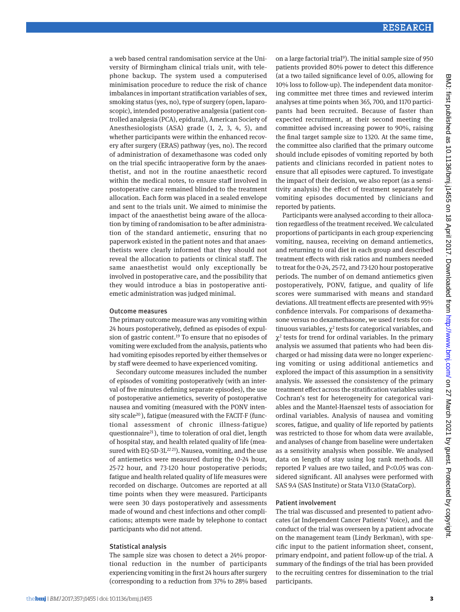a web based central randomisation service at the University of Birmingham clinical trials unit, with telephone backup. The system used a computerised minimisation procedure to reduce the risk of chance imbalances in important stratification variables of sex, smoking status (yes, no), type of surgery (open, laparoscopic), intended postoperative analgesia (patient controlled analgesia (PCA), epidural), American Society of Anesthesiologists (ASA) grade (1, 2, 3, 4, 5), and whether participants were within the enhanced recovery after surgery (ERAS) pathway (yes, no). The record of administration of dexamethasone was coded only on the trial specific intraoperative form by the anaesthetist, and not in the routine anaesthetic record within the medical notes, to ensure staff involved in postoperative care remained blinded to the treatment allocation. Each form was placed in a sealed envelope and sent to the trials unit. We aimed to minimise the impact of the anaesthetist being aware of the allocation by timing of randomisation to be after administration of the standard antiemetic, ensuring that no paperwork existed in the patient notes and that anaesthetists were clearly informed that they should not reveal the allocation to patients or clinical staff. The same anaesthetist would only exceptionally be involved in postoperative care, and the possibility that they would introduce a bias in postoperative antiemetic administration was judged minimal.

#### Outcome measures

The primary outcome measure was any vomiting within 24 hours postoperatively, defined as episodes of expulsion of gastric content.19 To ensure that no episodes of vomiting were excluded from the analysis, patients who had vomiting episodes reported by either themselves or by staff were deemed to have experienced vomiting.

Secondary outcome measures included the number of episodes of vomiting postoperatively (with an interval of five minutes defining separate episodes), the use of postoperative antiemetics, severity of postoperative nausea and vomiting (measured with the PONV intensity scale<sup>20</sup>), fatigue (measured with the FACIT-F (functional assessment of chronic illness-fatigue) questionnaire<sup>21</sup>), time to toleration of oral diet, length of hospital stay, and health related quality of life (measured with EQ-5D-3L $^{2223}$ ). Nausea, vomiting, and the use of antiemetics were measured during the 0-24 hour, 25-72 hour, and 73-120 hour postoperative periods; fatigue and health related quality of life measures were recorded on discharge. Outcomes are reported at all time points when they were measured. Participants were seen 30 days postoperatively and assessments made of wound and chest infections and other complications; attempts were made by telephone to contact participants who did not attend.

## Statistical analysis

The sample size was chosen to detect a 24% proportional reduction in the number of participants experiencing vomiting in the first 24 hours after surgery (corresponding to a reduction from 37% to 28% based

on a large factorial trial<sup>9</sup>). The initial sample size of 950 patients provided 80% power to detect this difference (at a two tailed significance level of 0.05, allowing for 10% loss to follow-up). The independent data monitoring committee met three times and reviewed interim analyses at time points when 365, 700, and 1170 participants had been recruited. Because of faster than expected recruitment, at their second meeting the committee advised increasing power to 90%, raising the final target sample size to 1320. At the same time, the committee also clarified that the primary outcome should include episodes of vomiting reported by both patients and clinicians recorded in patient notes to ensure that all episodes were captured. To investigate the impact of their decision, we also report (as a sensitivity analysis) the effect of treatment separately for vomiting episodes documented by clinicians and reported by patients.

Participants were analysed according to their allocation regardless of the treatment received. We calculated proportions of participants in each group experiencing vomiting, nausea, receiving on demand antiemetics, and returning to oral diet in each group and described treatment effects with risk ratios and numbers needed to treat for the 0-24, 25-72, and 73-120 hour postoperative periods. The number of on demand antiemetics given postoperatively, PONV, fatigue, and quality of life scores were summarised with means and standard deviations. All treatment effects are presented with 95% confidence intervals. For comparisons of dexamethasone versus no dexamethasone, we used *t* tests for continuous variables,  $\chi^2$  tests for categorical variables, and  $\chi^2$  tests for trend for ordinal variables. In the primary analysis we assumed that patients who had been discharged or had missing data were no longer experiencing vomiting or using additional antiemetics and explored the impact of this assumption in a sensitivity analysis. We assessed the consistency of the primary treatment effect across the stratification variables using Cochran's test for heterogeneity for categorical variables and the Mantel-Haenszel tests of association for ordinal variables. Analysis of nausea and vomiting scores, fatigue, and quality of life reported by patients was restricted to those for whom data were available, and analyses of change from baseline were undertaken as a sensitivity analysis when possible. We analysed data on length of stay using log rank methods. All reported P values are two tailed, and P<0.05 was considered significant. All analyses were performed with SAS 9.4 (SAS Institute) or Stata V13.0 (StataCorp).

#### Patient involvement

The trial was discussed and presented to patient advocates (at Independent Cancer Patients' Voice), and the conduct of the trial was overseen by a patient advocate on the management team (Lindy Berkman), with specific input to the patient information sheet, consent, primary endpoint, and patient follow-up of the trial. A summary of the findings of the trial has been provided to the recruiting centres for dissemination to the trial participants.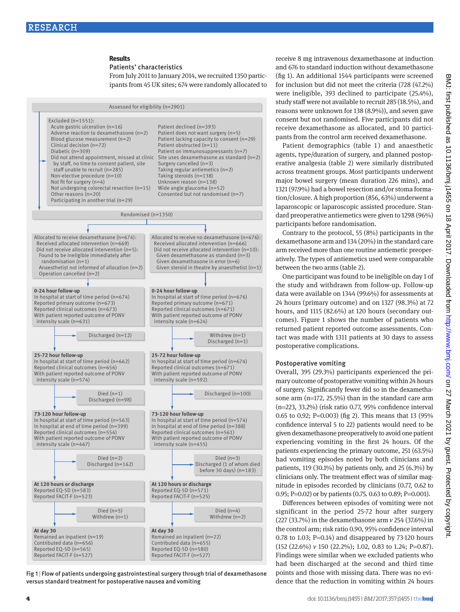#### **Results**

#### Patients' characteristics

From July 2011 to January 2014, we recruited 1350 participants from 45 UK sites; 674 were randomly allocated to



Fig 1 | Flow of patients undergoing gastrointestinal surgery through trial of dexamethasone versus standard treatment for postoperative nausea and vomiting

receive 8 mg intravenous dexamethasone at induction and 676 to standard induction without dexamethasone (fig 1). An additional 1544 participants were screened for inclusion but did not meet the criteria (728 (47.2%) were ineligible, 393 declined to participate (25.4%), study staff were not available to recruit 285 (18.5%), and reasons were unknown for 138 (8.9%)), and seven gave consent but not randomised. Five participants did not receive dexamethasone as allocated, and 10 participants from the control arm received dexamethasone.

Patient demographics (table 1) and anaesthetic agents, type/duration of surgery, and planned postoperative analgesia (table 2) were similarly distributed across treatment groups. Most participants underwent major bowel surgery (mean duration 226 mins), and 1321 (97.9%) had a bowel resection and/or stoma formation/closure. A high proportion (856, 63%) underwent a laparoscopic or laparoscopic assisted procedure. Standard preoperative antiemetics were given to 1298 (96%) participants before randomisation.

Contrary to the protocol, 55 (8%) participants in the dexamethasone arm and 134 (20%) in the standard care arm received more than one routine antiemetic preoperatively. The types of antiemetics used were comparable between the two arms (table 2).

One participant was found to be ineligible on day 1 of the study and withdrawn from follow-up. Follow-up data were available on 1344 (99.6%) for assessments at 24 hours (primary outcome) and on 1327 (98.3%) at 72 hours, and 1115 (82.6%) at 120 hours (secondary outcomes). Figure 1 shows the number of patients who returned patient reported outcome assessments. Contact was made with 1311 patients at 30 days to assess postoperative complications.

#### Postoperative vomiting

Overall, 395 (29.3%) participants experienced the primary outcome of postoperative vomiting within 24 hours of surgery. Significantly fewer did so in the dexamethasone arm (n=172, 25.5%) than in the standard care arm (n=223, 33.2%) (risk ratio 0.77, 95% confidence interval 0.65 to 0.92; P=0.003) (fig 2). This means that 13 (95% confidence interval 5 to 22) patients would need to be given dexamethasone preoperatively to avoid one patient experiencing vomiting in the first 24 hours. Of the patients experiencing the primary outcome, 251 (63.5%) had vomiting episodes noted by both clinicians and patients, 119 (30.1%) by patients only, and 25 (6.3%) by clinicians only. The treatment effect was of similar magnitude in episodes recorded by clinicians (0.77, 0.62 to 0.95; P=0.02) or by patients (0.75. 0.63 to 0.89; P=0.001).

Differences between episodes of vomiting were not significant in the period 25-72 hour after surgery (227 (33.7%) in the dexamethasone arm *v* 254 (37.6%) in the control arm; risk ratio 0.90, 95% confidence interval 0.78 to 1.03; P=0.14) and disappeared by 73-120 hours (152 (22.6%) *v* 150 (22.2%); 1.02, 0.83 to 1.24; P=0.87). Findings were similar when we excluded patients who had been discharged at the second and third time points and those with missing data. There was no evidence that the reduction in vomiting within 24 hours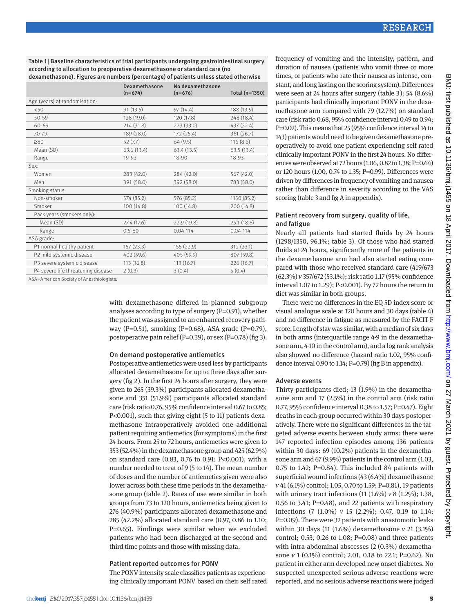Table 1 | Baseline characteristics of trial participants undergoing gastrointestinal surgery according to allocation to preoperative dexamethasone or standard care (no dexamethasone). Figures are numbers (percentage) of patients unless stated otherwise

|                                    | Dexamethasone<br>$(n=674)$ | No dexamethasone<br>$(n=676)$ | Total $(n=1350)$ |
|------------------------------------|----------------------------|-------------------------------|------------------|
| Age (years) at randomisation:      |                            |                               |                  |
| < 50                               | 91(13.5)                   | 97(14.4)                      | 188 (13.9)       |
| 50-59                              | 128 (19.0)                 | 120 (17.8)                    | 248 (18.4)       |
| 60-69                              | 214 (31.8)                 | 223 (33.0)                    | 437 (32.4)       |
| 70-79                              | 189 (28.0)                 | 172(25.4)                     | 361 (26.7)       |
| >80                                | 52(7.7)                    | 64(9.5)                       | 116(8.6)         |
| Mean (SD)                          | 63.6(13.4)                 | 63.4(13.5)                    | 63.5(13.4)       |
| Range                              | 19-93                      | 18-90                         | 18-93            |
| Sex:                               |                            |                               |                  |
| Women                              | 283 (42.0)                 | 284 (42.0)                    | 567 (42.0)       |
| Men                                | 391 (58.0)                 | 392 (58.0)                    | 783 (58.0)       |
| Smoking status:                    |                            |                               |                  |
| Non-smoker                         | 574 (85.2)                 | 576 (85.2)                    | 1150 (85.2)      |
| Smoker                             | 100 (14.8)                 | 100 (14.8)                    | 200 (14.8)       |
| Pack years (smokers only):         |                            |                               |                  |
| Mean (SD)                          | 27.4 (17.6)                | 22.9 (19.8)                   | 25.1(18.8)       |
| Range                              | $0.5 - 80$                 | $0.04 - 114$                  | $0.04 - 114$     |
| ASA grade:                         |                            |                               |                  |
| P1 normal healthy patient          | 157(23.3)                  | 155 (22.9)                    | 312(23.1)        |
| P2 mild systemic disease           | 402 (59.6)                 | 405 (59.9)                    | 807 (59.8)       |
| P3 severe systemic disease         | 113(16.8)                  | 113(16.7)                     | 226 (16.7)       |
| P4 severe life threatening disease | 2(0.3)                     | 3(0.4)                        | 5(0.4)           |
|                                    |                            |                               |                  |

ASA=American Society of Anesthiologists.

with dexamethasone differed in planned subgroup analyses according to type of surgery (P=0.91), whether the patient was assigned to an enhanced recovery pathway (P=0.51), smoking (P=0.68), ASA grade (P=0.79), postoperative pain relief (P=0.39), or sex (P=0.78) (fig 3).

# On demand postoperative antiemetics

Postoperative antiemetics were used less by participants allocated dexamethasone for up to three days after surgery (fig 2). In the first 24 hours after surgery, they were given to 265 (39.3%) participants allocated dexamethasone and 351 (51.9%) participants allocated standard care (risk ratio 0.76, 95% confidence interval 0.67 to 0.85; P<0.001), such that giving eight (5 to 11) patients dexamethasone intraoperatively avoided one additional patient requiring antiemetics (for symptoms) in the first 24 hours. From 25 to 72 hours, antiemetics were given to 353 (52.4%) in the dexamethasone group and 425 (62.9%) on standard care (0.83, 0.76 to 0.91; P<0.001), with a number needed to treat of 9 (5 to 14). The mean number of doses and the number of antiemetics given were also lower across both these time periods in the dexamethasone group (table 2). Rates of use were similar in both groups from 73 to 120 hours, antiemetics being given to 276 (40.9%) participants allocated dexamethasone and 285 (42.2%) allocated standard care (0.97, 0.86 to 1.10; P=0.65). Findings were similar when we excluded patients who had been discharged at the second and third time points and those with missing data.

#### Patient reported outcomes for PONV

The PONV intensity scale classifies patients as experiencing clinically important PONV based on their self rated frequency of vomiting and the intensity, pattern, and duration of nausea (patients who vomit three or more times, or patients who rate their nausea as intense, constant, and long lasting on the scoring system). Differences were seen at 24 hours after surgery (table 3): 54 (8.6%) participants had clinically important PONV in the dexamethasone arm compared with 79 (12.7%) on standard care (risk ratio 0.68, 95% confidence interval 0.49 to 0.94; P=0.02). This means that 25 (95% confidence interval 14 to 143) patients would need to be given dexamethasone preoperatively to avoid one patient experiencing self rated clinically important PONV in the first 24 hours. No differences were observed at 72 hours (1.06, 0.82 to 1.38; P=0.64) or 120 hours (1.00, 0.74 to 1.35; P=0.99). Differences were driven by differences in frequency of vomiting and nausea rather than difference in severity according to the VAS scoring (table 3 and fig A in appendix).

#### Patient recovery from surgery, quality of life, and fatigue

Nearly all patients had started fluids by 24 hours (1298/1350, 96.1%; table 3). Of those who had started fluids at 24 hours, significantly more of the patients in the dexamethasone arm had also started eating compared with those who received standard care (419/673 (62.3%) *v* 357/672 (53.1%); risk ratio 1.17 (95% confidence interval 1.07 to 1.29); P<0.001). By 72 hours the return to diet was similar in both groups.

There were no differences in the EQ-5D index score or visual analogue scale at 120 hours and 30 days (table 4) and no difference in fatigue as measured by the FACIT-F score. Length of stay was similar, with a median of six days in both arms (interquartile range 4-9 in the dexamethasone arm, 4-10 in the control arm), and a log rank analysis also showed no difference (hazard ratio 1.02, 95% confidence interval 0.90 to 1.14; P=0.79) (fig B in appendix).

#### Adverse events

Thirty participants died; 13 (1.9%) in the dexamethasone arm and 17 (2.5%) in the control arm (risk ratio 0.77, 95% confidence interval 0.38 to 1.57; P=0.47). Eight deaths in each group occurred within 30 days postoperatively. There were no significant differences in the targeted adverse events between study arms: there were 147 reported infection episodes among 136 patients within 30 days: 69 (10.2%) patients in the dexamethasone arm and 67 (9.9%) patients in the control arm (1.03, 0.75 to 1.42; P=0.84). This included 84 patients with superficial wound infections (43 (6.4%) dexamethasone *v* 41 (6.1%) control; 1.05, 0.70 to 1.59; P=0.81), 19 patients with urinary tract infections (11 (1.6%) *v* 8 (1.2%); 1.38, 0.56 to 3.41; P=0.48), and 22 patients with respiratory infections (7 (1.0%) *v* 15 (2.2%); 0.47, 0.19 to 1.14; P=0.09). There were 32 patients with anastomotic leaks within 30 days (11 (1.6%) dexamethasone *v* 21 (3.1%) control; 0.53, 0.26 to 1.08; P=0.08) and three patients with intra-abdominal abscesses (2 (0.3%) dexamethasone *v* 1 (0.1%) control; 2.01, 0.18 to 22.1; P=0.62). No patient in either arm developed new onset diabetes. No suspected unexpected serious adverse reactions were reported, and no serious adverse reactions were judged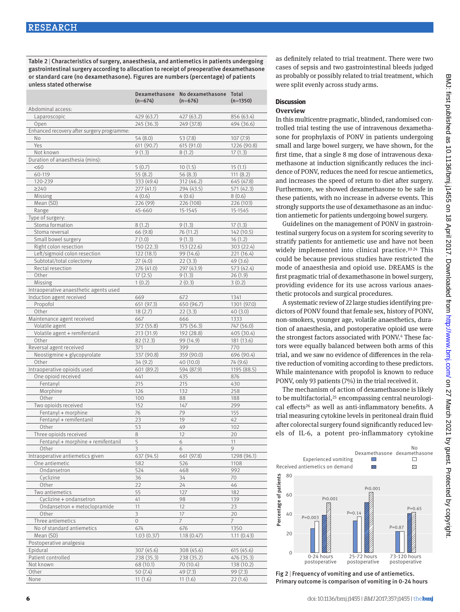Table 2 | Characteristics of surgery, anaesthesia, and antiemetics in patients undergoing gastrointestinal surgery according to allocation to receipt of preoperative dexamethasone or standard care (no dexamethasone). Figures are numbers (percentage) of patients unless stated otherwise

|                                             | $(n=674)$                    | Dexamethasone No dexamethasone Total<br>$(n=676)$ | $(n=1350)$      |
|---------------------------------------------|------------------------------|---------------------------------------------------|-----------------|
| Abdominal access:                           |                              |                                                   |                 |
| Laparoscopic                                | 429 (63.7)                   | 427 (63.2)                                        | 856 (63.4)      |
| Open                                        | 245 (36.3)                   | 249 (37.8)                                        | 494 (36.6)      |
| Enhanced recovery after surgery programme:  |                              |                                                   |                 |
| N <sub>o</sub>                              | 54 (8.0)                     | 53(7.8)                                           | 107(7.9)        |
| Yes                                         | 611 (90.7)                   | 615 (91.0)                                        | 1226 (90.8)     |
| Not known                                   | 9(1.3)                       | 8(1.2)                                            | 17(1.3)         |
| Duration of anaesthesia (mins):<br><60      | 5(0.7)                       |                                                   | 15(1.1)         |
| 60-119                                      | 55(8.2)                      | 10(1.5)<br>56(8.3)                                | 111(8.2)        |
| 120-239                                     | 333 (49.4)                   | 312 (46.2)                                        | 645 (47.8)      |
| $\geq$ 240                                  | 277(41.1)                    | 294 (43.5)                                        | 571 (42.3)      |
| Missing                                     | 4(0.6)                       | 4(0.6)                                            | 8(0.6)          |
| Mean (SD)                                   | 226 (99)                     | 226 (108)                                         | 226 (103)       |
| Range                                       | 45-660                       | 15-1545                                           | 15-1545         |
| Type of surgery:                            |                              |                                                   |                 |
| Stoma formation                             | 8(1.2)                       | 9(1.3)                                            | 17(1.3)         |
| Stoma reversal                              | 66 (9.8)                     | 76 (11.2)                                         | 142 (10.5)      |
| Small bowel surgery                         | 7(1.0)                       | 9(1.3)                                            | 16(1.2)         |
| Right colon resection                       | 150 (22.3)                   | 153 (22.6)                                        | 303 (22.4)      |
| Left/sigmoid colon resection                | 122 (18.1)                   | 99 (14.6)                                         | 221 (16.4)      |
| Subtotal/total colectomy                    | 27(4.0)                      | 22(3.3)                                           | 49(3.6)         |
| Rectal resection                            | 276 (41.0)                   | 297 (43.9)                                        | 573 (42.4)      |
| Other                                       | 17(2.5)                      | 9(1.3)                                            | 26(1.9)         |
| Missing                                     | 1(0.2)                       | 2(0.3)                                            | 3(0.2)          |
| Intraoperative anaesthetic agents used      |                              |                                                   |                 |
| Induction agent received                    | 669                          | 672                                               | 1341            |
| Propofol                                    | 651 (97.3)                   | 650 (96.7)                                        | 1301 (97.0)     |
| Other<br>Maintenance agent received         | 18(2.7)<br>667               | 22(3.3)<br>666                                    | 40(3.0)<br>1333 |
| Volatile agent                              | 372 (55.8)                   | 375 (56.3)                                        | 747 (56.0)      |
| Volatile agent + remifentanil               | 213 (31.9)                   | 192 (28.8)                                        | 405 (30.4)      |
| Other                                       | 82 (12.3)                    | 99 (14.9)                                         | 181 (13.6)      |
| Reversal agent received                     | 371                          | 399                                               | 770             |
| Neostigmine + glycopyrolate                 | 337 (90.8)                   | 359 (90.0)                                        | 696 (90.4)      |
| Other                                       | 34(9.2)                      | 40 (10.0)                                         | 74 (9.6)        |
| Intraoperative opioids used                 | 601 (89.2)                   | 594 (87.9)                                        | 1195 (88.5)     |
| One opioid received                         | 441                          | 435                                               | 876             |
| Fentanyl                                    | 215                          | 215                                               | 430             |
| Morphine                                    | 126                          | 132                                               | 258             |
| Other                                       | 100                          | 88                                                | 188             |
| Two opioids received                        | 152                          | 147                                               | 299             |
| Fentanyl + morphine                         | 76                           | 79                                                | 155             |
| Fentanyl + remifentanil                     | 23                           | 19                                                | 42              |
| Other                                       | 53                           | 49                                                | 102             |
| Three opioids received                      | 8                            | 12                                                | 20              |
| Fentanyl + morphine + remifentanil<br>Other | 5<br>$\overline{\mathbf{3}}$ | 6<br>6                                            | 11<br>9         |
| Intraoperative antiemetics given            | 637 (94.5)                   | 661 (97.8)                                        | 1298 (96.1)     |
| One antiemetic                              | 582                          | 526                                               | 1108            |
| Ondansetron                                 | 524                          | 468                                               | 992             |
| Cyclizine                                   | 36                           | 34                                                | 70              |
| Other                                       | 22                           | 24                                                | 46              |
| Two antiemetics                             | 55                           | 127                                               | 182             |
| Cyclizine + ondansetron                     | 41                           | 98                                                | 139             |
| Ondansetron + metoclopramide                | 11                           | 12                                                | 23              |
| Other                                       | 3                            | 17                                                | 20              |
| Three antiemetics                           | $\circ$                      | $\overline{7}$                                    | $\overline{7}$  |
| No of standard antiemetics                  | 674                          | 676                                               | 1350            |
| Mean (SD)                                   | 1.03(0.37)                   | 1.18(0.47)                                        | 1.11(0.43)      |
| Postoperative analgesia                     |                              |                                                   |                 |
| Epidural                                    | 307 (45.6)                   | 308 (45.6)                                        | 615 (45.6)      |
| Patient controlled                          | 238 (35.3)                   | 238 (35.2)                                        | 476 (35.3)      |
| Not known                                   | 68 (10.1)                    | 70 (10.4)                                         | 138 (10.2)      |
| Other                                       | 50 (7.4)                     | 49 (7.3)                                          | 99 (7.3)        |
| None                                        | 11(1.6)                      | 11(1.6)                                           | 22(1.6)         |

as definitely related to trial treatment. There were two cases of sepsis and two gastrointestinal bleeds judged as probably or possibly related to trial treatment, which were split evenly across study arms.

#### **Discussion Overview**

In this multicentre pragmatic, blinded, randomised controlled trial testing the use of intravenous dexamethasone for prophylaxis of PONV in patients undergoing small and large bowel surgery, we have shown, for the first time, that a single 8 mg dose of intravenous dexamethasone at induction significantly reduces the incidence of PONV, reduces the need for rescue antiemetics, and increases the speed of return to diet after surgery. Furthermore, we showed dexamethasone to be safe in these patients, with no increase in adverse events. This strongly supports the use of dexamethasone as an induction antiemetic for patients undergoing bowel surgery.

Guidelines on the management of PONV in gastrointestinal surgery focus on a system for scoring severity to stratify patients for antiemetic use and have not been widely implemented into clinical practice.<sup>1024</sup> This could be because previous studies have restricted the mode of anaesthesia and opioid use. DREAMS is the first pragmatic trial of dexamethasone in bowel surgery, providing evidence for its use across various anaesthetic protocols and surgical procedures.

A systematic review of 22 large studies identifying predictors of PONV found that female sex, history of PONV, non-smokers, younger age, volatile anaesthetics, duration of anaesthesia, and postoperative opioid use were the strongest factors associated with PONV.<sup>4</sup> These factors were equally balanced between both arms of this trial, and we saw no evidence of differences in the relative reduction of vomiting according to these predictors. While maintenance with propofol is known to reduce PONV, only 93 patients (7%) in the trial received it.

The mechanism of action of dexamethasone is likely to be multifactorial,<sup>25</sup> encompassing central neurological effects<sup>26</sup> as well as anti-inflammatory benefits. A trial measuring cytokine levels in peritoneal drain fluid after colorectal surgery found significantly reduced levels of IL-6, a potent pro-inflammatory cytokine



Fig 2 | Frequency of vomiting and use of antiemetics. Primary outcome is comparison of vomiting in 0-24 hours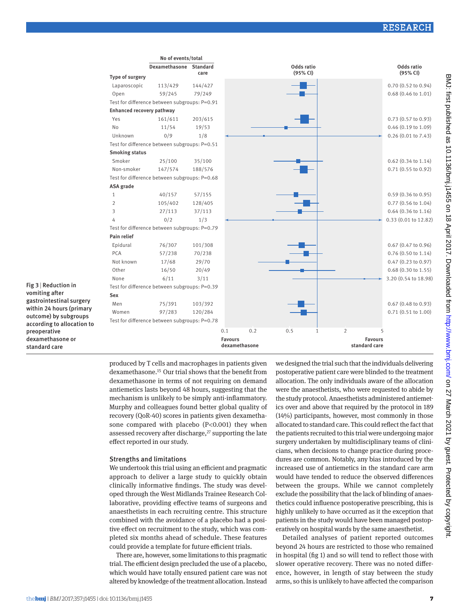

Fig 3 | Reduction in vomiting after gastrointestinal surgery within 24 hours (primary outcome) by subgroups according to allocation to preoperative dexamethasone or standard care

> produced by T cells and macrophages in patients given dexamethasone.15 Our trial shows that the benefit from dexamethasone in terms of not requiring on demand antiemetics lasts beyond 48 hours, suggesting that the mechanism is unlikely to be simply anti-inflammatory. Murphy and colleagues found better global quality of recovery (QoR-40) scores in patients given dexamethasone compared with placebo (P<0.001) they when assessed recovery after discharge,<sup>27</sup> supporting the late effect reported in our study.

# Strengths and limitations

We undertook this trial using an efficient and pragmatic approach to deliver a large study to quickly obtain clinically informative findings. The study was developed through the West Midlands Trainee Research Collaborative, providing effective teams of surgeons and anaesthetists in each recruiting centre. This structure combined with the avoidance of a placebo had a positive effect on recruitment to the study, which was completed six months ahead of schedule. These features could provide a template for future efficient trials.

There are, however, some limitations to this pragmatic trial. The efficient design precluded the use of a placebo, which would have totally ensured patient care was not altered by knowledge of the treatment allocation. Instead

we designed the trial such that the individuals delivering postoperative patient care were blinded to the treatment allocation. The only individuals aware of the allocation were the anaesthetists, who were requested to abide by the study protocol. Anaesthetists administered antiemetics over and above that required by the protocol in 189 (14%) participants, however, most commonly in those allocated to standard care. This could reflect the fact that the patients recruited to this trial were undergoing major surgery undertaken by multidisciplinary teams of clinicians, when decisions to change practice during procedures are common. Notably, any bias introduced by the increased use of antiemetics in the standard care arm would have tended to reduce the observed differences between the groups. While we cannot completely exclude the possibility that the lack of blinding of anaesthetics could influence postoperative prescribing, this is highly unlikely to have occurred as it the exception that patients in the study would have been managed postoperatively on hospital wards by the same anaesthetist.

Detailed analyses of patient reported outcomes beyond 24 hours are restricted to those who remained in hospital (fig 1) and so will tend to reflect those with slower operative recovery. There was no noted difference, however, in length of stay between the study arms, so this is unlikely to have affected the comparison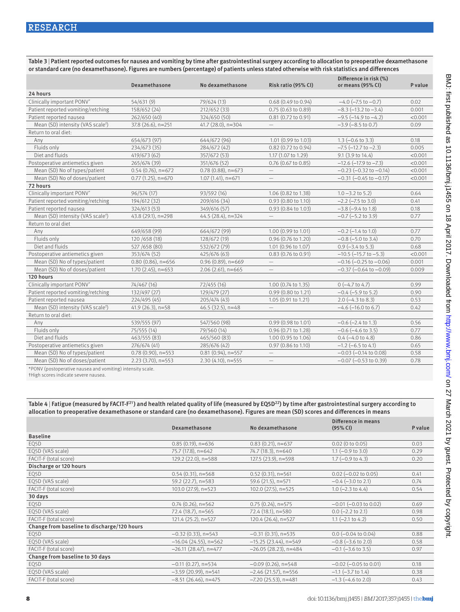Table 3 | Patient reported outcomes for nausea and vomiting by time after gastrointestinal surgery according to allocation to preoperative dexamethasone or standard care (no dexamethasone). Figures are numbers (percentage) of patients unless stated otherwise with risk statistics and differences

|                                               | Dexamethasone        | No dexamethasone       | Risk ratio (95% CI)           | Difference in risk (%)<br>or means (95% CI) | P value |
|-----------------------------------------------|----------------------|------------------------|-------------------------------|---------------------------------------------|---------|
| 24 hours                                      |                      |                        |                               |                                             |         |
| Clinically important PONV*                    | 54/631(9)            | 79/624 (13)            | 0.68 (0.49 to 0.94)           | $-4.0$ ( $-7.5$ to $-0.7$ )                 | 0.02    |
| Patient reported vomiting/retching            | 158/652 (24)         | 212/652 (33)           | 0.75(0.63 to 0.89)            | $-8.3$ ( $-13.2$ to $-3.4$ )                | 0.001   |
| Patient reported nausea                       | 262/650 (40)         | 324/650 (50)           | 0.81 (0.72 to 0.91)           | $-9.5$ ( $-14.9$ to $-4.2$ )                | < 0.001 |
| Mean (SD) intensity (VAS scale <sup>†</sup> ) | 37.8 (26.6), n=251   | 41.7 (28.0), n=304     | $\overline{\phantom{m}}$      | $-3.9$ ( $-8.5$ to 0.7)                     | 0.09    |
| Return to oral diet:                          |                      |                        |                               |                                             |         |
| Any                                           | 654/673 (97)         | 644/672 (96)           | 1.01 (0.99 to 1.03)           | $1.3$ (-0.6 to 3.3)                         | 0.18    |
| Fluids only                                   | 234/673 (35)         | 284/672 (42)           | $0.82$ (0.72 to 0.94)         | $-7.5$ $(-12.7$ to $-2.3)$                  | 0.005   |
| Diet and fluids                               | 419/673 (62)         | 357/672 (53)           | 1.17 (1.07 to 1.29)           | 9.1 (3.9 to 14.4)                           | < 0.001 |
| Postoperative antiemetics given               | 265/674 (39)         | 351/676 (52)           | 0.76 (0.67 to 0.85)           | $-12.6$ ( $-17.9$ to $-7.3$ )               | < 0.001 |
| Mean (SD) No of types/patient                 | $0.54(0.76)$ , n=672 | $0.78(0.88)$ , n=673   | $\qquad \qquad -$             | $-0.23$ ( $-0.32$ to $-0.14$ )              | < 0.001 |
| Mean (SD) No of doses/patient                 | $0.77(1.25)$ , n=670 | $1.07(1.41)$ , n=671   |                               | $-0.31$ ( $-0.45$ to $-0.17$ )              | < 0.001 |
| 72 hours                                      |                      |                        |                               |                                             |         |
| Clinically important PONV*                    | 96/574 (17)          | 93/592 (16)            | 1.06 (0.82 to 1.38)           | $1.0 - 3.2$ to 5.2)                         | 0.64    |
| Patient reported vomiting/retching            | 194/612 (32)         | 209/616 (34)           | 0.93 (0.80 to 1.10)           | $-2.2$ ( $-7.5$ to 3.0)                     | 0.41    |
| Patient reported nausea                       | 324/613 (53)         | 349/616 (57)           | $0.93(0.84 \text{ to } 1.03)$ | $-3.8$ ( $-9.4$ to 1.8)                     | 0.18    |
| Mean (SD) intensity (VAS scale <sup>t</sup> ) | 43.8 (29.1), n=298   | 44.5 (28.4), n=324     |                               | $-0.7$ ( $-5.2$ to 3.9)                     | 0.77    |
| Return to oral diet                           |                      |                        |                               |                                             |         |
| Any                                           | 649/658 (99)         | 664/672 (99)           | 1.00 (0.99 to 1.01)           | $-0.2$ ( $-1.4$ to 1.0)                     | 0.77    |
| Fluids only                                   | 120 / 658 (18)       | 128/672 (19)           | 0.96 (0.76 to 1.20)           | $-0.8$ ( $-5.0$ to 3.4)                     | 0.70    |
| Diet and fluids                               | 527 / 658 (80)       | 532/672 (79)           | 1.01 (0.96 to 1.07)           | $0.9$ ( $-3.4$ to 5.3)                      | 0.68    |
| Postoperative antiemetics given               | 353/674 (52)         | 425/676 (63)           | 0.83 (0.76 to 0.91)           | $-10.5$ ( $-15.7$ to $-5.3$ )               | < 0.001 |
| Mean (SD) No of types/patient                 | $0.80(0.86)$ , n=656 | $0.96(0.89)$ , n=669   | $\overline{\phantom{0}}$      | $-0.16$ $(-0.25$ to $-0.06)$                | 0.001   |
| Mean (SD) No of doses/patient                 | $1.70(2.45)$ , n=653 | $2.06$ (2.61), $n=665$ | $-$                           | $-0.37$ ( $-0.64$ to $-0.09$ )              | 0.009   |
| 120 hours                                     |                      |                        |                               |                                             |         |
| Clinically important PONV*                    | 74/467 (16)          | 72/455 (16)            | 1.00 (0.74 to 1.35)           | $0 (-4.7 to 4.7)$                           | 0.99    |
| Patient reported vomiting/retching            | 132/497 (27)         | 129/479 (27)           | 0.99 (0.80 to 1.21)           | $-0.4$ (-5.9 to 5.2)                        | 0.90    |
| Patient reported nausea                       | 224/495 (45)         | 205/474 (43)           | 1.05 (0.91 to 1.21)           | $2.0$ (-4.3 to 8.3)                         | 0.53    |
| Mean (SD) intensity (VAS scale <sup>t</sup> ) | 41.9 $(26.3)$ , n=58 | $46.5(32.5)$ , n=48    | $\overline{\phantom{m}}$      | $-4.6$ ( $-16.0$ to 6.7)                    | 0.42    |
| Return to oral diet:                          |                      |                        |                               |                                             |         |
| Any                                           | 539/555 (97)         | 547/560 (98)           | 0.99 (0.98 to 1.01)           | $-0.6$ $(-2.4$ to 1.3)                      | 0.56    |
| Fluids only                                   | 75/555 (14)          | 79/560 (14)            | 0.96 (0.71 to 1.28)           | $-0.6$ ( $-4.6$ to 3.5)                     | 0.77    |
| Diet and fluids                               | 463/555 (83)         | 465/560 (83)           | 1.00 (0.95 to 1.06)           | $0.4 (-4.0 to 4.8)$                         | 0.86    |
| Postoperative antiemetics given               | 276/674 (41)         | 285/676 (42)           | $0.97$ (0.86 to 1.10)         | $-1.2$ ( $-6.5$ to 4.1)                     | 0.65    |
| Mean (SD) No of types/patient                 | $0.78(0.90)$ , n=553 | $0.81(0.94)$ , n=557   | $-$                           | $-0.03$ ( $-0.14$ to 0.08)                  | 0.58    |
| Mean (SD) No of doses/patient                 | 2.23 (3.70), n=553   | $2.30(4.10)$ , n=555   | $\qquad \qquad -$             | $-0.07$ ( $-0.53$ to 0.39)                  | 0.78    |
|                                               |                      |                        |                               |                                             |         |

\*PONV (postoperative nausea and vomiting) intensity scale.

†High scores indicate severe nausea.

Table 4 | Fatigue (measured by FACIT-F<sup>21</sup>) and health related quality of life (measured by EQ5D<sup>22</sup>) by time after gastrointestinal surgery according to allocation to preoperative dexamethasone or standard care (no dexamethasone). Figures are mean (SD) scores and differences in means

|                                             | Dexamethasone           | No dexamethasone        | PHICICILE III IIICAIIS<br>(95% CI) | P value |
|---------------------------------------------|-------------------------|-------------------------|------------------------------------|---------|
| <b>Baseline</b>                             |                         |                         |                                    |         |
| EQ5D                                        | $0.85(0.19)$ , n=636    | $0.83(0.21)$ , n=637    | $0.02$ (0 to 0.05)                 | 0.03    |
| EQ5D (VAS scale)                            | 75.7 (17.8), n=642      | 74.7 (18.3), n=640      | $1.1 (-0.9 to 3.0)$                | 0.29    |
| FACIT-F (total score)                       | 129.2 (22.0), n=588     | 127.5 (23.9), n=598     | $1.7 (-0.9 to 4.3)$                | 0.20    |
| Discharge or 120 hours                      |                         |                         |                                    |         |
| EQ5D                                        | $0.54(0.31)$ , n=568    | $0.52$ (0.31), n=561    | $0.02$ (-0.02 to 0.05)             | 0.41    |
| EQ5D (VAS scale)                            | 59.2 (22.7), n=583      | 59.6 (21.5), n=571      | $-0.4$ ( $-3.0$ to 2.1)            | 0.74    |
| FACIT-F (total score)                       | 103.0 (27.9), n=523     | 102.0 (27.5), n=525     | $1.0$ (-2.3 to 4.4)                | 0.54    |
| 30 days                                     |                         |                         |                                    |         |
| EQ5D                                        | $0.74$ (0.26), n=562    | $0.75(0.24)$ , n=575    | $-0.01$ $(-0.03$ to 0.02)          | 0.69    |
| EQ5D (VAS scale)                            | 72.4 (18.7), n=565      | 72.4 (18.1), n=580      | $0.0$ (-2.2 to 2.1)                | 0.98    |
| FACIT-F (total score)                       | 121.4 (25.2), n=527     | 120.4 (26.4), n=527     | $1.1$ $(-2.1$ to 4.2)              | 0.50    |
| Change from baseline to discharge/120 hours |                         |                         |                                    |         |
| EQ5D                                        | $-0.32$ (0.33), n=543   | $-0.31$ (0.31), n=535   | $0.0$ (-0.04 to 0.04)              | 0.88    |
| EQ5D (VAS scale)                            | $-16.04$ (24.55), n=562 | $-15.25(23.44)$ , n=549 | $-0.8$ ( $-3.6$ to 2.0)            | 0.58    |
| FACIT-F (total score)                       | $-26.11$ (28.47), n=477 | $-26.05(28.23)$ , n=484 | $-0.1$ ( $-3.6$ to 3.5)            | 0.97    |
| Change from baseline to 30 days             |                         |                         |                                    |         |
| EQ <sub>5</sub> D                           | $-0.11$ (0.27), n=534   | $-0.09$ (0.26), n=548   | $-0.02$ ( $-0.05$ to 0.01)         | 0.18    |
| EQ5D (VAS scale)                            | $-3.59$ (20.99), n=541  | $-2.46$ (21.57), n=556  | $-1.1$ $(-3.7$ to 1.4)             | 0.38    |
| FACIT-F (total score)                       | $-8.51$ (26.46), n=475  | $-7.20$ (25.53), n=481  | $-1.3$ ( $-4.6$ to 2.0)            | 0.43    |
|                                             |                         |                         |                                    |         |

Difference in means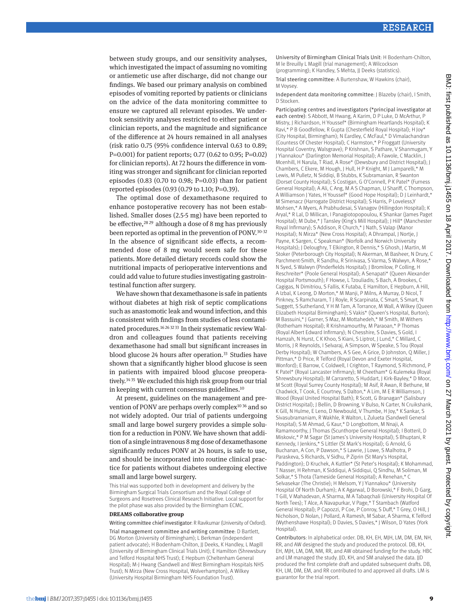between study groups, and our sensitivity analyses, which investigated the impact of assuming no vomiting or antiemetic use after discharge, did not change our findings. We based our primary analysis on combined episodes of vomiting reported by patients or clinicians on the advice of the data monitoring committee to ensure we captured all relevant episodes. We undertook sensitivity analyses restricted to either patient or clinician reports, and the magnitude and significance of the difference at 24 hours remained in all analyses (risk ratio 0.75 (95% confidence interval 0.63 to 0.89; P=0.001) for patient reports; 0.77 (0.62 to 0.95; P=0.02) for clinician reports). At 72 hours the difference in vomiting was stronger and significant for clinician reported episodes (0.83 (0.70 to 0.98; P=0.03) than for patient reported episodes (0.93 (0.79 to 1.10; P=0.39).

The optimal dose of dexamethasone required to enhance postoperative recovery has not been established. Smaller doses (2.5-5 mg) have been reported to be effective,28 <sup>29</sup> although a dose of 8 mg has previously been reported as optimal in the prevention of PONV.30-32 In the absence of significant side effects, a recommended dose of 8 mg would seem safe for these patients. More detailed dietary records could show the nutritional impacts of perioperative interventions and could add value to future studies investigating gastrointestinal function after surgery.

We have shown that dexamethasone is safe in patients without diabetes at high risk of septic complications such as anastomotic leak and wound infection, and this is consistent with findings from studies of less contaminated procedures.16 <sup>26</sup> <sup>32</sup> 33 In their systematic review Waldron and colleagues found that patients receiving dexamethasone had small but significant increases in blood glucose 24 hours after operation.<sup>33</sup> Studies have shown that a significantly higher blood glucose is seen in patients with impaired blood glucose preoperatively.34 35 We excluded this high risk group from our trial in keeping with current consensus guidelines.10

At present, guidelines on the management and prevention of PONV are perhaps overly complex<sup>10 36</sup> and so not widely adopted. Our trial of patients undergoing small and large bowel surgery provides a simple solution for a reduction in PONV. We have shown that addition of a single intravenous 8 mg dose of dexamethasone significantly reduces PONV at 24 hours, is safe to use, and should be incorporated into routine clinical practice for patients without diabetes undergoing elective small and large bowel surgery.

This trial was supported both in development and delivery by the Birmingham Surgical Trials Consortium and the Royal College of Surgeons and Rosetrees Clinical Research Initiative. Local support for the pilot phase was also provided by the Birmingham ECMC.

#### **DREAMS collaborative group**

Writing committee chief investigator: R Ravikumar (University of Oxford).

Trial management committee and writing committee: D Bartlett, DG Morton (University of Birmingham); L Berkman (independent patient advocate); H Bodenham-Chilton, JJ Deeks, K Handley, L Magill (University of Birmingham Clinical Trials Unit); E Hamilton (Shrewsbury and Telford Hospital NHS Trust); E Hepburn (Cheltenham General Hospital); M-J Hwang (Sandwell and West Birmingham Hospitals NHS Trust); N Mirza (New Cross Hospital, Wolverhampton), A Wilkey (University Hospital Birmingham NHS Foundation Trust).

University of Birmingham Clinical Trials Unit: H Bodenham-Chilton, M le Breuilly L Magill (trial management); A Wilcockson (programming); K Handley, S Mehta, JJ Deeks (statistics).

Trial steering committee: A Burtenshaw, W Hawkins (chair), M Voysey.

Independent data monitoring committee: J Blazeby (chair), I Smith, D Stocken.

Participating centres and investigators (\*principal investigator at each centre): S Abbott, M Hwang, A Karim, D P Luke, D McArthur, P Mistry, J Richardson, H Youssef\* (Birmingham Heartlands Hospital); K Ravi,\* P B Goodfellow, R Gupta (Chesterfield Royal Hospital); H Joy\* (City Hospital, Birmingham); N Eardley, C McFaul,\* D Vimalachandran (Countess Of Chester Hospital); C Harmston,\* P Froggatt (University Hospital Coventry, Walsgrave); P Krishnan, S Pathare, V Shanmugam, Y J Yiannakou\* (Darlington Memorial Hospital); A Fawole, C Macklin, J Mcenhill, H Narula, T Riad, A Rose\* (Dewsbury and District Hospital); J Chambers, C Ekere, M Hough, J Hull, H P Knight, M J Lamparelli,\* M Lewis, M Pulletz, N Siddiqi, B Stubbs, K Subramanian, R Swanton (Dorset County Hospital); S Costigan, G O'Connell, P K Patel\* (Furness General Hospital); A Ali, C Ang, M A S Chapman, U Shariff, C Thompson, A Williamson J Yates, H Youssef\* (Good Hope Hospital); D J Leinhardt,\* M Simenacz (Harrogate District Hospital); S Harris, P Loveless,Y Mohsen,\* A Myers, A Prabhudesai, S Vanagov (Hillingdon Hospital); K Aryal,\* R Lal, D Millican, I Panagiotopopoulou, K Shankar (James Paget Hospital); M Dube,\* J Tansley (King's Mill Hospital); J Hill\* (Manchester Royal Infirmary); S Addison, R Church,\* J Nath, S Valap (Manor Hospital); N Mirza\* (New Cross Hospital); A Dhrampal, J Nortje, J Payne, K Sargen, C Speakman\* (Norfolk and Norwich University Hospitals); J Deloughry, T Elkington, R Dennis,\* S Ghosh, J Martin, M Stoker (Peterborough City Hospital); N Akerman, M Basheer, N Drury, C Parchment-Smith, R Sandhu, R Srinivasa, S Varma, S Walwyn, A Rose,\* N Syed, S Walwyn (Pinderfields Hospital); J Bromilow, P Colling, H Reschreiter\* (Poole General Hospital); A Senapati\* (Queen Alexander Hospital Portsmouth); F Howse, L Tzouliadis; S Bach, A Brookes, C Cagigas, N Dimitriou, S Fallis, K Futaba, E Hamilton, E Hepburn, A Hill, A Izbal, K Leong, D Morton,\* M Manji, P Milns, A Murray, D Nicol, T Pinkney, S Ramcharam, T J Royle, R Scarpinata, C Smart, S Smart, N Suggett, S Sutherland, Y H M Tam, A Torrance, M Wall, A Wilkey (Queen Elizabeth Hospital Birmingham); S Vakis\* (Queen's Hospital, Burton); M Bassuini,\* J Garner, S Maz, M Mottahedeh,\* M Smith, M Withers (Rotherham Hospital); R Krishnamourthy, M Paraoan,\* P Thomas (Royal Albert Edward Infirmary); N Chesshire, S Davies, S Gold, I Hamzah, N Hurst, C K Khoo, S Kiani, S Liptrot, J Lund,\* C Millard, C Morris, J R Reynolds, I Selvaraj, A Simpson, W Speake, S Tou (Royal Derby Hospital); W Chambers, A S Gee, A Grice, D Johnston, Q Miller, J Pittman,\* D Price, R Telford (Royal Devon and Exeter Hospital, Wonford); E Barrow, C Coldwell, I Crighton, T Raymond, S Richmond, P K Patel\* (Royal Lancaster Infirmary); M Cheetham\* G Kulemeka (Royal Shrewsbury Hospital); M Carraretto, S Huddart, J Kirk-Bayley,\* D Moor, M Scott (Royal Surrey County Hospital); M Asif, R Awan, R Bethune, M Chadwick, T Cook, E Courtney, S Dalton,\* A Lim, M E R Williamson, J Wood (Royal United Hospital Bath); R Scott, G Branagan\* (Salisbury District Hospital); J Bellin, D Browning, V Bulso, N Carter, N Cruikshank, K Gill, N Hulme, E Leno, D Newbould, V Thumbe, H Joy,\* K Sankar, S Sivasubramaniam, R Wakhle, R Walton, L Zulueta (Sandwell General Hospital); S M Ahmad, G Kaur,\* D Longbottom, M Nnaji, A Ramamoorthy, J Thomas (Scunthorpe General Hospital); I Botteril, D Miskovic,\* P M Sagar (St James's University Hospital); S Bhuptani, R Kennedy, I Jenkins,\* S Littler (St Mark's Hospital); G Arnold, G Buchanan, A Con, P Dawson,\* S Lawrie, J Lowe, S Malhotra, P Paraskeva, S Richards, V Sidhu, P Ziprin (St Mary's Hospital, Paddington); D Kruchek, A Kuttler\* (St Peter's Hospital); K Mohammad, T Nasser, H Rehman, K Siddiqui, A Siddiqui, Q Sindhu, M Soliman, M Solkar,\* S Thota (Tameside General Hospital); A Renehan,\* C Selvasekar (The Christie); H Melsom, Y J Yiannakou\* (University Hospital Of North Durham); A K Agarwal, D Borowski,\* F Brohi, D Garg, T Gill, V Mahadevan, A Sharma, M A Tabaqchali (University Hospital Of North Tees); T Alce, A Navapurkar, V Page,\* T Stambach (Watford General Hospital); P Capozzi, P Coe, P Conroy, S Duff,\* T Grey, O Hill, J Nicholson, D Nolan, J Pollard, A Ramesh, M Sabar, A Sharma, K Telford (Wythenshawe Hospital); D Davies, S Davies,\* J Wilson, D Yates (York Hospital).

Contributors: In alphabetical order. DB, KH, EH, MJH, LM, DM, EM, NH, RR, and AW designed the study and produced the protocol. DB, KH, EH, MJH, LM, DM, NM, RR, and AW obtained funding for the study. HBC and LM managed the study. IID, KH, and SM analysed the data. IID produced the first complete draft and updated subsequent drafts. DB, KH, LM, DM, EM, and RR contributed to and approved all drafts. LM is guarantor for the trial report.